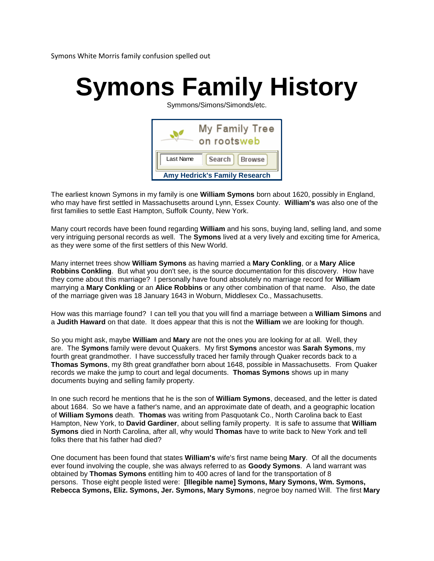Symons White Morris family confusion spelled out

## **Symons Family History**

Symmons/Simons/Simonds/etc.

| My Family Tree<br>on rootsweb        |                  |
|--------------------------------------|------------------|
| Last Name                            | Search<br>Browse |
| <b>Amy Hedrick's Family Research</b> |                  |

The earliest known Symons in my family is one **William Symons** born about 1620, possibly in England, who may have first settled in Massachusetts around Lynn, Essex County. **William's** was also one of the first families to settle East Hampton, Suffolk County, New York.

Many court records have been found regarding **William** and his sons, buying land, selling land, and some very intriguing personal records as well. The **Symons** lived at a very lively and exciting time for America, as they were some of the first settlers of this New World.

Many internet trees show **William Symons** as having married a **Mary Conkling**, or a **Mary Alice Robbins Conkling**. But what you don't see, is the source documentation for this discovery. How have they come about this marriage? I personally have found absolutely no marriage record for **William** marrying a **Mary Conkling** or an **Alice Robbins** or any other combination of that name. Also, the date of the marriage given was 18 January 1643 in Woburn, Middlesex Co., Massachusetts.

How was this marriage found? I can tell you that you will find a marriage between a **William Simons** and a **Judith Haward** on that date. It does appear that this is not the **William** we are looking for though.

So you might ask, maybe **William** and **Mary** are not the ones you are looking for at all. Well, they are. The **Symons** family were devout Quakers. My first **Symons** ancestor was **Sarah Symons**, my fourth great grandmother. I have successfully traced her family through Quaker records back to a **Thomas Symons**, my 8th great grandfather born about 1648, possible in Massachusetts. From Quaker records we make the jump to court and legal documents. **Thomas Symons** shows up in many documents buying and selling family property.

In one such record he mentions that he is the son of **William Symons**, deceased, and the letter is dated about 1684. So we have a father's name, and an approximate date of death, and a geographic location of **William Symons** death. **Thomas** was writing from Pasquotank Co., North Carolina back to East Hampton, New York, to **David Gardiner**, about selling family property. It is safe to assume that **William Symons** died in North Carolina, after all, why would **Thomas** have to write back to New York and tell folks there that his father had died?

One document has been found that states **William's** wife's first name being **Mary**. Of all the documents ever found involving the couple, she was always referred to as **Goody Symons**. A land warrant was obtained by **Thomas Symons** entitling him to 400 acres of land for the transportation of 8 persons. Those eight people listed were: **[Illegible name] Symons, Mary Symons, Wm. Symons, Rebecca Symons, Eliz. Symons, Jer. Symons, Mary Symons**, negroe boy named Will. The first **Mary**